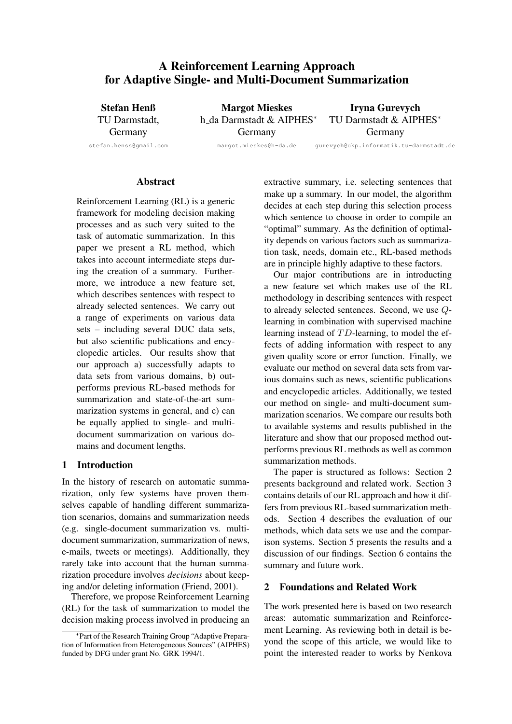# A Reinforcement Learning Approach for Adaptive Single- and Multi-Document Summarization

Stefan Henß TU Darmstadt, Germany stefan.henss@gmail.com

Margot Mieskes h da Darmstadt & AIPHES<sup>∗</sup> Germany gurevych@ukp.informatik.tu-darmstadt.de

Iryna Gurevych TU Darmstadt & AIPHES<sup>∗</sup> Germany

margot.mieskes@h-da.de

### **Abstract**

Reinforcement Learning (RL) is a generic framework for modeling decision making processes and as such very suited to the task of automatic summarization. In this paper we present a RL method, which takes into account intermediate steps during the creation of a summary. Furthermore, we introduce a new feature set, which describes sentences with respect to already selected sentences. We carry out a range of experiments on various data sets – including several DUC data sets, but also scientific publications and encyclopedic articles. Our results show that our approach a) successfully adapts to data sets from various domains, b) outperforms previous RL-based methods for summarization and state-of-the-art summarization systems in general, and c) can be equally applied to single- and multidocument summarization on various domains and document lengths.

# 1 Introduction

In the history of research on automatic summarization, only few systems have proven themselves capable of handling different summarization scenarios, domains and summarization needs (e.g. single-document summarization vs. multidocument summarization, summarization of news, e-mails, tweets or meetings). Additionally, they rarely take into account that the human summarization procedure involves *decisions* about keeping and/or deleting information (Friend, 2001).

Therefore, we propose Reinforcement Learning (RL) for the task of summarization to model the decision making process involved in producing an extractive summary, i.e. selecting sentences that make up a summary. In our model, the algorithm decides at each step during this selection process which sentence to choose in order to compile an "optimal" summary. As the definition of optimality depends on various factors such as summarization task, needs, domain etc., RL-based methods are in principle highly adaptive to these factors.

Our major contributions are in introducting a new feature set which makes use of the RL methodology in describing sentences with respect to already selected sentences. Second, we use Qlearning in combination with supervised machine learning instead of  $TD$ -learning, to model the effects of adding information with respect to any given quality score or error function. Finally, we evaluate our method on several data sets from various domains such as news, scientific publications and encyclopedic articles. Additionally, we tested our method on single- and multi-document summarization scenarios. We compare our results both to available systems and results published in the literature and show that our proposed method outperforms previous RL methods as well as common summarization methods.

The paper is structured as follows: Section 2 presents background and related work. Section 3 contains details of our RL approach and how it differs from previous RL-based summarization methods. Section 4 describes the evaluation of our methods, which data sets we use and the comparison systems. Section 5 presents the results and a discussion of our findings. Section 6 contains the summary and future work.

# 2 Foundations and Related Work

The work presented here is based on two research areas: automatic summarization and Reinforcement Learning. As reviewing both in detail is beyond the scope of this article, we would like to point the interested reader to works by Nenkova

<sup>∗</sup> Part of the Research Training Group "Adaptive Preparation of Information from Heterogeneous Sources" (AIPHES) funded by DFG under grant No. GRK 1994/1.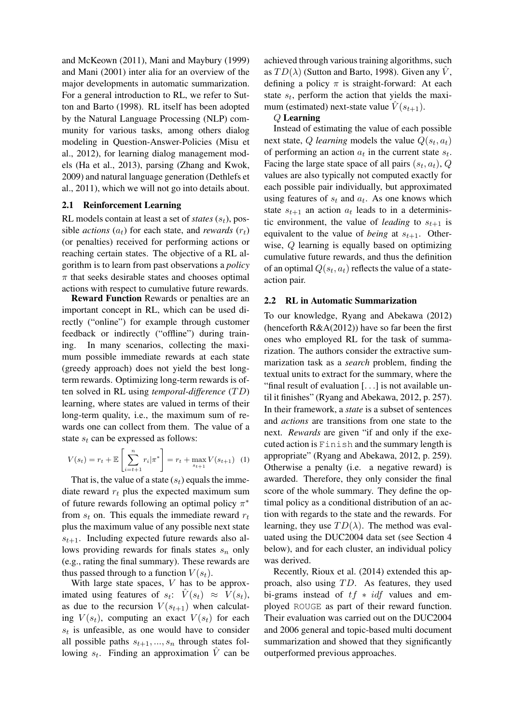and McKeown (2011), Mani and Maybury (1999) and Mani (2001) inter alia for an overview of the major developments in automatic summarization. For a general introduction to RL, we refer to Sutton and Barto (1998). RL itself has been adopted by the Natural Language Processing (NLP) community for various tasks, among others dialog modeling in Question-Answer-Policies (Misu et al., 2012), for learning dialog management models (Ha et al., 2013), parsing (Zhang and Kwok, 2009) and natural language generation (Dethlefs et al., 2011), which we will not go into details about.

## 2.1 Reinforcement Learning

RL models contain at least a set of *states*  $(s_t)$ , possible *actions*  $(a_t)$  for each state, and *rewards*  $(r_t)$ (or penalties) received for performing actions or reaching certain states. The objective of a RL algorithm is to learn from past observations a *policy*  $\pi$  that seeks desirable states and chooses optimal actions with respect to cumulative future rewards.

Reward Function Rewards or penalties are an important concept in RL, which can be used directly ("online") for example through customer feedback or indirectly ("offline") during training. In many scenarios, collecting the maximum possible immediate rewards at each state (greedy approach) does not yield the best longterm rewards. Optimizing long-term rewards is often solved in RL using *temporal-difference* (T D) learning, where states are valued in terms of their long-term quality, i.e., the maximum sum of rewards one can collect from them. The value of a state  $s_t$  can be expressed as follows:

$$
V(s_t) = r_t + \mathbb{E}\left[\sum_{i=t+1}^n r_i |\pi^*\right] = r_t + \max_{s_{t+1}} V(s_{t+1}) \tag{1}
$$

That is, the value of a state  $(s_t)$  equals the immediate reward  $r_t$  plus the expected maximum sum of future rewards following an optimal policy  $\pi^*$ from  $s_t$  on. This equals the immediate reward  $r_t$ plus the maximum value of any possible next state  $s_{t+1}$ . Including expected future rewards also allows providing rewards for finals states  $s_n$  only (e.g., rating the final summary). These rewards are thus passed through to a function  $V(s_t)$ .

With large state spaces, V has to be approximated using features of  $s_t$ :  $\hat{V}(s_t) \approx \hat{V}(s_t)$ , as due to the recursion  $V(s_{t+1})$  when calculating  $V(s_t)$ , computing an exact  $V(s_t)$  for each  $s_t$  is unfeasible, as one would have to consider all possible paths  $s_{t+1}, ..., s_n$  through states following  $s_t$ . Finding an approximation  $\hat{V}$  can be

achieved through various training algorithms, such as  $TD(\lambda)$  (Sutton and Barto, 1998). Given any  $\hat{V}$ , defining a policy  $\pi$  is straight-forward: At each state  $s_t$ , perform the action that yields the maximum (estimated) next-state value  $\hat{V}(s_{t+1})$ .

#### Q Learning

Instead of estimating the value of each possible next state, Q *learning* models the value  $Q(s_t, a_t)$ of performing an action  $a_t$  in the current state  $s_t$ . Facing the large state space of all pairs  $(s_t, a_t)$ , Q values are also typically not computed exactly for each possible pair individually, but approximated using features of  $s_t$  and  $a_t$ . As one knows which state  $s_{t+1}$  an action  $a_t$  leads to in a deterministic environment, the value of *leading* to  $s_{t+1}$  is equivalent to the value of *being* at  $s_{t+1}$ . Otherwise, Q learning is equally based on optimizing cumulative future rewards, and thus the definition of an optimal  $Q(s_t, a_t)$  reflects the value of a stateaction pair.

#### 2.2 RL in Automatic Summarization

To our knowledge, Ryang and Abekawa (2012) (henceforth  $R&A(2012)$ ) have so far been the first ones who employed RL for the task of summarization. The authors consider the extractive summarization task as a *search* problem, finding the textual units to extract for the summary, where the "final result of evaluation [. . .] is not available until it finishes" (Ryang and Abekawa, 2012, p. 257). In their framework, a *state* is a subset of sentences and *actions* are transitions from one state to the next. *Rewards* are given "if and only if the executed action is Finish and the summary length is appropriate" (Ryang and Abekawa, 2012, p. 259). Otherwise a penalty (i.e. a negative reward) is awarded. Therefore, they only consider the final score of the whole summary. They define the optimal policy as a conditional distribution of an action with regards to the state and the rewards. For learning, they use  $TD(\lambda)$ . The method was evaluated using the DUC2004 data set (see Section 4 below), and for each cluster, an individual policy was derived.

Recently, Rioux et al. (2014) extended this approach, also using  $TD$ . As features, they used bi-grams instead of  $tf * idf$  values and employed ROUGE as part of their reward function. Their evaluation was carried out on the DUC2004 and 2006 general and topic-based multi document summarization and showed that they significantly outperformed previous approaches.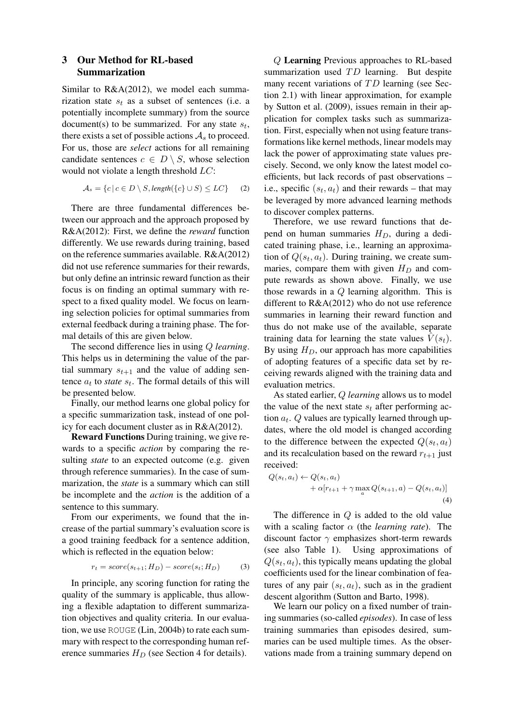# 3 Our Method for RL-based Summarization

Similar to R&A(2012), we model each summarization state  $s_t$  as a subset of sentences (i.e. a potentially incomplete summary) from the source document(s) to be summarized. For any state  $s_t$ , there exists a set of possible actions  $A_s$  to proceed. For us, those are *select* actions for all remaining candidate sentences  $c \in D \setminus S$ , whose selection would not violate a length threshold LC:

$$
\mathcal{A}_s = \{c \mid c \in D \setminus S, \text{length}(\{c\} \cup S) \le LC\} \tag{2}
$$

There are three fundamental differences between our approach and the approach proposed by R&A(2012): First, we define the *reward* function differently. We use rewards during training, based on the reference summaries available. R&A(2012) did not use reference summaries for their rewards, but only define an intrinsic reward function as their focus is on finding an optimal summary with respect to a fixed quality model. We focus on learning selection policies for optimal summaries from external feedback during a training phase. The formal details of this are given below.

The second difference lies in using Q *learning*. This helps us in determining the value of the partial summary  $s_{t+1}$  and the value of adding sentence  $a_t$  to *state*  $s_t$ . The formal details of this will be presented below.

Finally, our method learns one global policy for a specific summarization task, instead of one policy for each document cluster as in R&A(2012).

Reward Functions During training, we give rewards to a specific *action* by comparing the resulting *state* to an expected outcome (e.g. given through reference summaries). In the case of summarization, the *state* is a summary which can still be incomplete and the *action* is the addition of a sentence to this summary.

From our experiments, we found that the increase of the partial summary's evaluation score is a good training feedback for a sentence addition, which is reflected in the equation below:

$$
r_t = score(s_{t+1}; H_D) - score(s_t; H_D)
$$
 (3)

In principle, any scoring function for rating the quality of the summary is applicable, thus allowing a flexible adaptation to different summarization objectives and quality criteria. In our evaluation, we use ROUGE (Lin, 2004b) to rate each summary with respect to the corresponding human reference summaries  $H_D$  (see Section 4 for details).

Q Learning Previous approaches to RL-based summarization used  $TD$  learning. But despite many recent variations of  $TD$  learning (see Section 2.1) with linear approximation, for example by Sutton et al. (2009), issues remain in their application for complex tasks such as summarization. First, especially when not using feature transformations like kernel methods, linear models may lack the power of approximating state values precisely. Second, we only know the latest model coefficients, but lack records of past observations – i.e., specific  $(s_t, a_t)$  and their rewards – that may be leveraged by more advanced learning methods to discover complex patterns.

Therefore, we use reward functions that depend on human summaries  $H_D$ , during a dedicated training phase, i.e., learning an approximation of  $Q(s_t, a_t)$ . During training, we create summaries, compare them with given  $H_D$  and compute rewards as shown above. Finally, we use those rewards in a Q learning algorithm. This is different to R&A(2012) who do not use reference summaries in learning their reward function and thus do not make use of the available, separate training data for learning the state values  $V(s_t)$ . By using  $H_D$ , our approach has more capabilities of adopting features of a specific data set by receiving rewards aligned with the training data and evaluation metrics.

As stated earlier, Q *learning* allows us to model the value of the next state  $s_t$  after performing action  $a_t$ .  $Q$  values are typically learned through updates, where the old model is changed according to the difference between the expected  $Q(s_t, a_t)$ and its recalculation based on the reward  $r_{t+1}$  just received:

$$
Q(s_t, a_t) \leftarrow Q(s_t, a_t)
$$
  
+ 
$$
\alpha[r_{t+1} + \gamma \max_a Q(s_{t+1}, a) - Q(s_t, a_t)]
$$
  
(4)

The difference in Q is added to the old value with a scaling factor α (the *learning rate*). The discount factor  $\gamma$  emphasizes short-term rewards (see also Table 1). Using approximations of  $Q(s_t, a_t)$ , this typically means updating the global coefficients used for the linear combination of features of any pair  $(s_t, a_t)$ , such as in the gradient descent algorithm (Sutton and Barto, 1998).

We learn our policy on a fixed number of training summaries (so-called *episodes*). In case of less training summaries than episodes desired, summaries can be used multiple times. As the observations made from a training summary depend on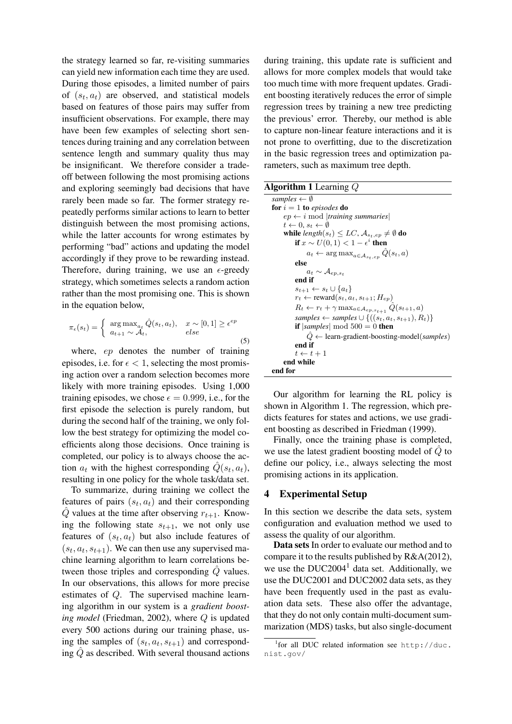the strategy learned so far, re-visiting summaries can yield new information each time they are used. During those episodes, a limited number of pairs of  $(s_t, a_t)$  are observed, and statistical models based on features of those pairs may suffer from insufficient observations. For example, there may have been few examples of selecting short sentences during training and any correlation between sentence length and summary quality thus may be insignificant. We therefore consider a tradeoff between following the most promising actions and exploring seemingly bad decisions that have rarely been made so far. The former strategy repeatedly performs similar actions to learn to better distinguish between the most promising actions, while the latter accounts for wrong estimates by performing "bad" actions and updating the model accordingly if they prove to be rewarding instead. Therefore, during training, we use an  $\epsilon$ -greedy strategy, which sometimes selects a random action rather than the most promising one. This is shown in the equation below,

$$
\pi_{\epsilon}(s_t) = \begin{cases} \arg \max_{a_t} \hat{Q}(s_t, a_t), & x \sim [0, 1] \ge \epsilon^{ep} \\ a_{t+1} \sim \mathcal{A}_t, & else \end{cases}
$$
(5)

where, ep denotes the number of training episodes, i.e. for  $\epsilon$  < 1, selecting the most promising action over a random selection becomes more likely with more training episodes. Using 1,000 training episodes, we chose  $\epsilon = 0.999$ , i.e., for the first episode the selection is purely random, but during the second half of the training, we only follow the best strategy for optimizing the model coefficients along those decisions. Once training is completed, our policy is to always choose the action  $a_t$  with the highest corresponding  $\hat{Q}(s_t, a_t)$ , resulting in one policy for the whole task/data set.

To summarize, during training we collect the features of pairs  $(s_t, a_t)$  and their corresponding  $Q$  values at the time after observing  $r_{t+1}$ . Knowing the following state  $s_{t+1}$ , we not only use features of  $(s_t, a_t)$  but also include features of  $(s_t, a_t, s_{t+1})$ . We can then use any supervised machine learning algorithm to learn correlations between those triples and corresponding  $Q$  values. In our observations, this allows for more precise estimates of Q. The supervised machine learning algorithm in our system is a *gradient boosting model* (Friedman, 2002), where Q is updated every 500 actions during our training phase, using the samples of  $(s_t, a_t, s_{t+1})$  and corresponding  $Q$  as described. With several thousand actions

during training, this update rate is sufficient and allows for more complex models that would take too much time with more frequent updates. Gradient boosting iteratively reduces the error of simple regression trees by training a new tree predicting the previous' error. Thereby, our method is able to capture non-linear feature interactions and it is not prone to overfitting, due to the discretization in the basic regression trees and optimization parameters, such as maximum tree depth.

#### Algorithm 1 Learning Q

```
samples ← ∅
for i = 1 to episodes do
     ep \leftarrow i mod |training summaries|
     t \leftarrow 0, s_t \leftarrow \emptysetwhile length(s_t) \leq LC, \mathcal{A}_{s_t, ep} \neq \emptyset do
           if x \sim U(0,1) < 1-\epsilon^i then
                a_t \leftarrow \arg \max_{a \in \mathcal{A}_{s_t, e_p}} \tilde{Q}(s_t, a)else
                a_t \sim \mathcal{A}_{ep,s_t}end if
           s_{t+1} \leftarrow s_t \cup \{a_t\}r_t \leftarrow \text{reward}(s_t, a_t, s_{t+1}; H_{ep})R_t \leftarrow r_t + \gamma \max_{a \in \mathcal{A}_{ep,s_{t+1}}} Q(s_{t+1}, a)samples \leftarrow samples \cup \{((s_t, a_t, s_{t+1}), R_t)\}if |samples| mod 500 = 0 then
                \hat{Q} \leftarrow learn-gradient-boosting-model(samples)
           end if
           t \leftarrow t + 1end while
end for
```
Our algorithm for learning the RL policy is shown in Algorithm 1. The regression, which predicts features for states and actions, we use gradient boosting as described in Friedman (1999).

Finally, once the training phase is completed, we use the latest gradient boosting model of  $Q$  to define our policy, i.e., always selecting the most promising actions in its application.

### 4 Experimental Setup

In this section we describe the data sets, system configuration and evaluation method we used to assess the quality of our algorithm.

Data sets In order to evaluate our method and to compare it to the results published by R&A(2012), we use the  $DUC2004<sup>1</sup>$  data set. Additionally, we use the DUC2001 and DUC2002 data sets, as they have been frequently used in the past as evaluation data sets. These also offer the advantage, that they do not only contain multi-document summarization (MDS) tasks, but also single-document

<sup>1</sup> for all DUC related information see http://duc. nist.gov/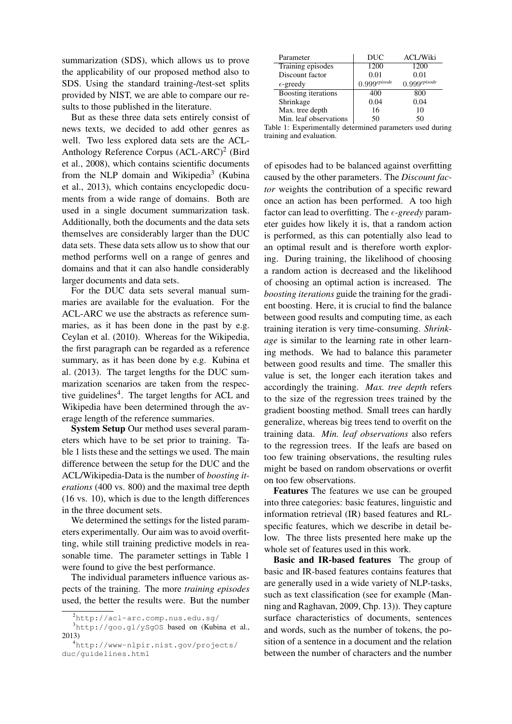summarization (SDS), which allows us to prove the applicability of our proposed method also to SDS. Using the standard training-/test-set splits provided by NIST, we are able to compare our results to those published in the literature.

But as these three data sets entirely consist of news texts, we decided to add other genres as well. Two less explored data sets are the ACL-Anthology Reference Corpus (ACL-ARC)<sup>2</sup> (Bird et al., 2008), which contains scientific documents from the NLP domain and Wikipedia<sup>3</sup> (Kubina et al., 2013), which contains encyclopedic documents from a wide range of domains. Both are used in a single document summarization task. Additionally, both the documents and the data sets themselves are considerably larger than the DUC data sets. These data sets allow us to show that our method performs well on a range of genres and domains and that it can also handle considerably larger documents and data sets.

For the DUC data sets several manual summaries are available for the evaluation. For the ACL-ARC we use the abstracts as reference summaries, as it has been done in the past by e.g. Ceylan et al. (2010). Whereas for the Wikipedia, the first paragraph can be regarded as a reference summary, as it has been done by e.g. Kubina et al. (2013). The target lengths for the DUC summarization scenarios are taken from the respective guidelines<sup>4</sup>. The target lengths for ACL and Wikipedia have been determined through the average length of the reference summaries.

System Setup Our method uses several parameters which have to be set prior to training. Table 1 lists these and the settings we used. The main difference between the setup for the DUC and the ACL/Wikipedia-Data is the number of *boosting iterations* (400 vs. 800) and the maximal tree depth (16 vs. 10), which is due to the length differences in the three document sets.

We determined the settings for the listed parameters experimentally. Our aim was to avoid overfitting, while still training predictive models in reasonable time. The parameter settings in Table 1 were found to give the best performance.

The individual parameters influence various aspects of the training. The more *training episodes* used, the better the results were. But the number

| Parameter              | <b>DUC</b>                 | <b>ACL/Wiki</b>       |
|------------------------|----------------------------|-----------------------|
| Training episodes      | 1200                       | 1200                  |
| Discount factor        | 0.01                       | 0.01                  |
| $\epsilon$ -greedy     | $0.999$ <sup>episode</sup> | $0.999^{\it episode}$ |
| Boosting iterations    | 400                        | 800                   |
| Shrinkage              | 0.04                       | 0.04                  |
| Max. tree depth        | 16                         | 10                    |
| Min. leaf observations | 50                         | 50                    |

Table 1: Experimentally determined parameters used during training and evaluation.

of episodes had to be balanced against overfitting caused by the other parameters. The *Discount factor* weights the contribution of a specific reward once an action has been performed. A too high factor can lead to overfitting. The  $\epsilon$ -greedy parameter guides how likely it is, that a random action is performed, as this can potentially also lead to an optimal result and is therefore worth exploring. During training, the likelihood of choosing a random action is decreased and the likelihood of choosing an optimal action is increased. The *boosting iterations* guide the training for the gradient boosting. Here, it is crucial to find the balance between good results and computing time, as each training iteration is very time-consuming. *Shrinkage* is similar to the learning rate in other learning methods. We had to balance this parameter between good results and time. The smaller this value is set, the longer each iteration takes and accordingly the training. *Max. tree depth* refers to the size of the regression trees trained by the gradient boosting method. Small trees can hardly generalize, whereas big trees tend to overfit on the training data. *Min. leaf observations* also refers to the regression trees. If the leafs are based on too few training observations, the resulting rules might be based on random observations or overfit on too few observations.

Features The features we use can be grouped into three categories: basic features, linguistic and information retrieval (IR) based features and RLspecific features, which we describe in detail below. The three lists presented here make up the whole set of features used in this work.

Basic and IR-based features The group of basic and IR-based features contains features that are generally used in a wide variety of NLP-tasks, such as text classification (see for example (Manning and Raghavan, 2009, Chp. 13)). They capture surface characteristics of documents, sentences and words, such as the number of tokens, the position of a sentence in a document and the relation between the number of characters and the number

<sup>2</sup>http://acl-arc.comp.nus.edu.sg/

<sup>3</sup>http://goo.gl/ySgOS based on (Kubina et al., 2013)

<sup>4</sup>http://www-nlpir.nist.gov/projects/ duc/guidelines.html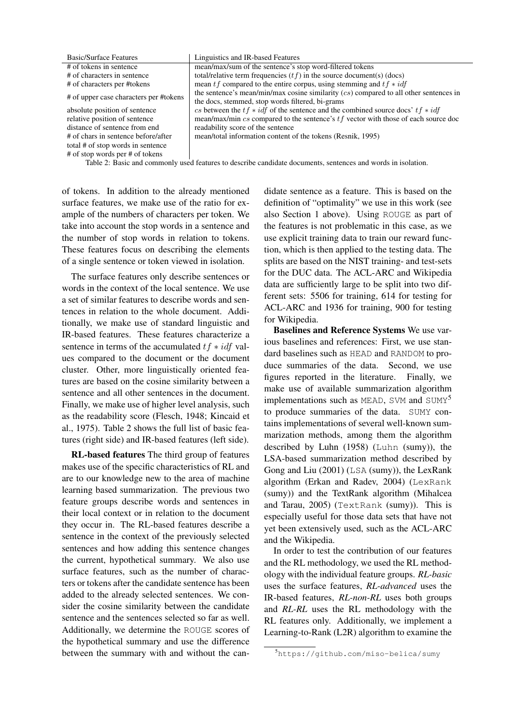| <b>Basic/Surface Features</b>          | Linguistics and IR-based Features                                                       |
|----------------------------------------|-----------------------------------------------------------------------------------------|
| # of tokens in sentence                | mean/max/sum of the sentence's stop word-filtered tokens                                |
| # of characters in sentence            | total/relative term frequencies $(tf)$ in the source document(s) (docs)                 |
| # of characters per #tokens            | mean $tf$ compared to the entire corpus, using stemming and $tf * idf$                  |
| # of upper case characters per #tokens | the sentence's mean/min/max cosine similarity $(cs)$ compared to all other sentences in |
|                                        | the docs, stemmed, stop words filtered, bi-grams                                        |
| absolute position of sentence          | cs between the $tf * idf$ of the sentence and the combined source docs' $tf * idf$      |
| relative position of sentence          | mean/max/min $cs$ compared to the sentence's $tf$ vector with those of each source doc  |
| distance of sentence from end          | readability score of the sentence                                                       |
| # of chars in sentence before/after    | mean/total information content of the tokens (Resnik, 1995)                             |
| total # of stop words in sentence      |                                                                                         |
| # of stop words per # of tokens        |                                                                                         |

Table 2: Basic and commonly used features to describe candidate documents, sentences and words in isolation.

of tokens. In addition to the already mentioned surface features, we make use of the ratio for example of the numbers of characters per token. We take into account the stop words in a sentence and the number of stop words in relation to tokens. These features focus on describing the elements of a single sentence or token viewed in isolation.

The surface features only describe sentences or words in the context of the local sentence. We use a set of similar features to describe words and sentences in relation to the whole document. Additionally, we make use of standard linguistic and IR-based features. These features characterize a sentence in terms of the accumulated  $tf * idf$  values compared to the document or the document cluster. Other, more linguistically oriented features are based on the cosine similarity between a sentence and all other sentences in the document. Finally, we make use of higher level analysis, such as the readability score (Flesch, 1948; Kincaid et al., 1975). Table 2 shows the full list of basic features (right side) and IR-based features (left side).

RL-based features The third group of features makes use of the specific characteristics of RL and are to our knowledge new to the area of machine learning based summarization. The previous two feature groups describe words and sentences in their local context or in relation to the document they occur in. The RL-based features describe a sentence in the context of the previously selected sentences and how adding this sentence changes the current, hypothetical summary. We also use surface features, such as the number of characters or tokens after the candidate sentence has been added to the already selected sentences. We consider the cosine similarity between the candidate sentence and the sentences selected so far as well. Additionally, we determine the ROUGE scores of the hypothetical summary and use the difference between the summary with and without the can-

didate sentence as a feature. This is based on the definition of "optimality" we use in this work (see also Section 1 above). Using ROUGE as part of the features is not problematic in this case, as we use explicit training data to train our reward function, which is then applied to the testing data. The splits are based on the NIST training- and test-sets for the DUC data. The ACL-ARC and Wikipedia data are sufficiently large to be split into two different sets: 5506 for training, 614 for testing for ACL-ARC and 1936 for training, 900 for testing for Wikipedia.

Baselines and Reference Systems We use various baselines and references: First, we use standard baselines such as HEAD and RANDOM to produce summaries of the data. Second, we use figures reported in the literature. Finally, we make use of available summarization algorithm implementations such as MEAD, SVM and  $SUMY<sup>5</sup>$ to produce summaries of the data. SUMY contains implementations of several well-known summarization methods, among them the algorithm described by Luhn (1958) (Luhn (sumy)), the LSA-based summarization method described by Gong and Liu (2001) (LSA (sumy)), the LexRank algorithm (Erkan and Radev, 2004) (LexRank (sumy)) and the TextRank algorithm (Mihalcea and Tarau, 2005) (TextRank (sumy)). This is especially useful for those data sets that have not yet been extensively used, such as the ACL-ARC and the Wikipedia.

In order to test the contribution of our features and the RL methodology, we used the RL methodology with the individual feature groups. *RL-basic* uses the surface features, *RL-advanced* uses the IR-based features, *RL-non-RL* uses both groups and *RL-RL* uses the RL methodology with the RL features only. Additionally, we implement a Learning-to-Rank (L2R) algorithm to examine the

<sup>5</sup>https://github.com/miso-belica/sumy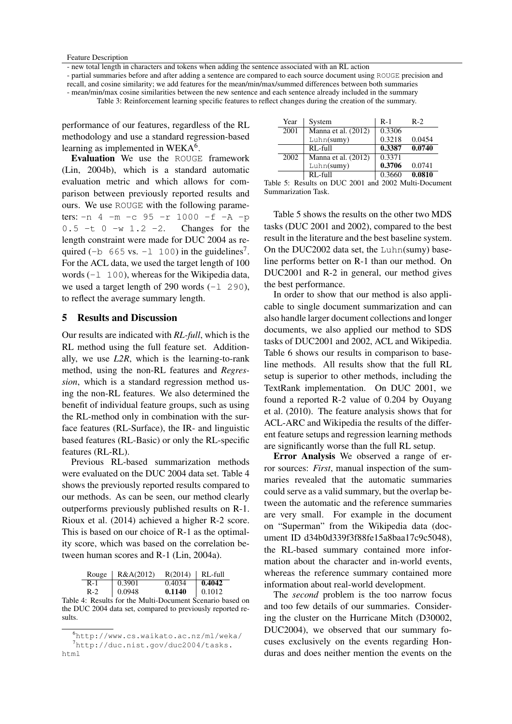Feature Description

- new total length in characters and tokens when adding the sentence associated with an RL action

- partial summaries before and after adding a sentence are compared to each source document using ROUGE precision and recall, and cosine similarity; we add features for the mean/min/max/summed differences between both summaries - mean/min/max cosine similarities between the new sentence and each sentence already included in the summary

Table 3: Reinforcement learning specific features to reflect changes during the creation of the summary.

performance of our features, regardless of the RL methodology and use a standard regression-based learning as implemented in WEKA<sup>6</sup>.

Evaluation We use the ROUGE framework (Lin, 2004b), which is a standard automatic evaluation metric and which allows for comparison between previously reported results and ours. We use ROUGE with the following parameters: -n 4 -m -c 95 -r 1000 -f -A -p  $0.5 -t$  0  $-w$  1.2  $-2$ . Changes for the length constraint were made for DUC 2004 as required (-b  $665$  vs. -1 100) in the guidelines<sup>7</sup>. For the ACL data, we used the target length of 100 words  $(-1 \ 100)$ , whereas for the Wikipedia data, we used a target length of 290 words  $(-1 \t290)$ , to reflect the average summary length.

# 5 Results and Discussion

Our results are indicated with *RL-full*, which is the RL method using the full feature set. Additionally, we use *L2R*, which is the learning-to-rank method, using the non-RL features and *Regression*, which is a standard regression method using the non-RL features. We also determined the benefit of individual feature groups, such as using the RL-method only in combination with the surface features (RL-Surface), the IR- and linguistic based features (RL-Basic) or only the RL-specific features (RL-RL).

Previous RL-based summarization methods were evaluated on the DUC 2004 data set. Table 4 shows the previously reported results compared to our methods. As can be seen, our method clearly outperforms previously published results on R-1. Rioux et al. (2014) achieved a higher R-2 score. This is based on our choice of R-1 as the optimality score, which was based on the correlation between human scores and R-1 (Lin, 2004a).

|     | Rouge   $R&A(2012)$ | $R(2014)$ RL-full |        |
|-----|---------------------|-------------------|--------|
| R-1 | 0.3901              | 0.4034            | 0.4042 |
|     |                     |                   |        |

 $R-2$  0.0948 0.1140 0.1012 Table 4: Results for the Multi-Document Scenario based on the DUC 2004 data set, compared to previously reported results.

| Year | System                           | $R-1$  | $R-2$  |
|------|----------------------------------|--------|--------|
| 2001 | Manna et al. (2012)              | 0.3306 |        |
|      | Luhn(sumy)                       | 0.3218 | 0.0454 |
|      | $RL$ -full                       | 0.3387 | 0.0740 |
| 2002 | Manna et al. $(20\overline{12})$ | 0.3371 |        |
|      | Luhn(sumy)                       | 0.3706 | 0.0741 |
|      | $RI_f$ -full                     | 0.3660 | 0.0810 |

|  |                     |  |  | Table 5: Results on DUC 2001 and 2002 Multi-Document |
|--|---------------------|--|--|------------------------------------------------------|
|  | Summarization Task. |  |  |                                                      |

Table 5 shows the results on the other two MDS tasks (DUC 2001 and 2002), compared to the best result in the literature and the best baseline system. On the DUC2002 data set, the Luhn(sumy) baseline performs better on R-1 than our method. On DUC2001 and R-2 in general, our method gives the best performance.

In order to show that our method is also applicable to single document summarization and can also handle larger document collections and longer documents, we also applied our method to SDS tasks of DUC2001 and 2002, ACL and Wikipedia. Table 6 shows our results in comparison to baseline methods. All results show that the full RL setup is superior to other methods, including the TextRank implementation. On DUC 2001, we found a reported R-2 value of 0.204 by Ouyang et al. (2010). The feature analysis shows that for ACL-ARC and Wikipedia the results of the different feature setups and regression learning methods are significantly worse than the full RL setup.

Error Analysis We observed a range of error sources: *First*, manual inspection of the summaries revealed that the automatic summaries could serve as a valid summary, but the overlap between the automatic and the reference summaries are very small. For example in the document on "Superman" from the Wikipedia data (document ID d34b0d339f3f88fe15a8baa17c9c5048), the RL-based summary contained more information about the character and in-world events, whereas the reference summary contained more information about real-world development.

The *second* problem is the too narrow focus and too few details of our summaries. Considering the cluster on the Hurricane Mitch (D30002, DUC2004), we observed that our summary focuses exclusively on the events regarding Honduras and does neither mention the events on the

<sup>6</sup>http://www.cs.waikato.ac.nz/ml/weka/ <sup>7</sup>http://duc.nist.gov/duc2004/tasks. html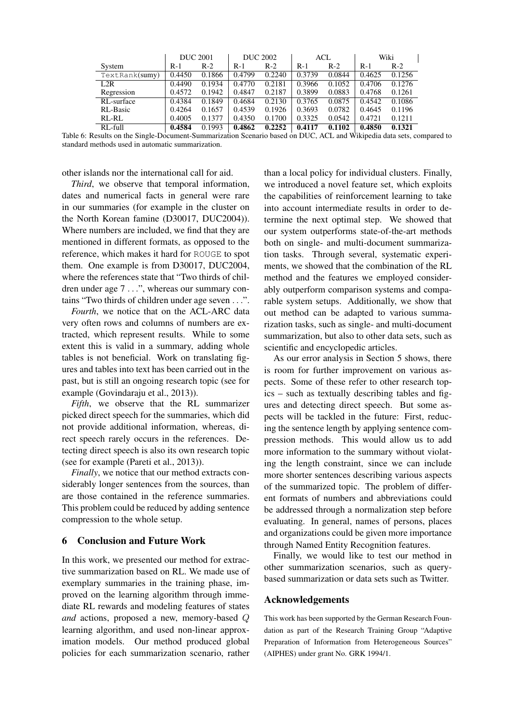|                | <b>DUC 2001</b> |        | <b>DUC 2002</b> |        | ACL    |        | Wiki   |        |
|----------------|-----------------|--------|-----------------|--------|--------|--------|--------|--------|
| System         | $R-1$           | $R-2$  | $R-1$           | $R-2$  | $R-1$  | $R-2$  | $R-1$  | $R-2$  |
| TextRank(sumy) | 0.4450          | 0.1866 | 0.4799          | 0.2240 | 0.3739 | 0.0844 | 0.4625 | 0.1256 |
| L2R            | 0.4490          | 0.1934 | 0.4770          | 0.2181 | 0.3966 | 0.1052 | 0.4706 | 0.1276 |
| Regression     | 0.4572          | 0.1942 | 0.4847          | 0.2187 | 0.3899 | 0.0883 | 0.4768 | 0.1261 |
| RL-surface     | 0.4384          | 0.1849 | 0.4684          | 0.2130 | 0.3765 | 0.0875 | 0.4542 | 0.1086 |
| RL-Basic       | 0.4264          | 0.1657 | 0.4539          | 0.1926 | 0.3693 | 0.0782 | 0.4645 | 0.1196 |
| RL-RL          | 0.4005          | 0.1377 | 0.4350          | 0.1700 | 0.3325 | 0.0542 | 0.4721 | 0.1211 |
| RL-full        | 0.4584          | 0.1993 | 0.4862          | 0.2252 | 0.4117 | 0.1102 | 0.4850 | 0.1321 |

Table 6: Results on the Single-Document-Summarization Scenario based on DUC, ACL and Wikipedia data sets, compared to standard methods used in automatic summarization.

other islands nor the international call for aid.

*Third*, we observe that temporal information, dates and numerical facts in general were rare in our summaries (for example in the cluster on the North Korean famine (D30017, DUC2004)). Where numbers are included, we find that they are mentioned in different formats, as opposed to the reference, which makes it hard for ROUGE to spot them. One example is from D30017, DUC2004, where the references state that "Two thirds of children under age 7 . . .", whereas our summary contains "Two thirds of children under age seven . . .".

*Fourth*, we notice that on the ACL-ARC data very often rows and columns of numbers are extracted, which represent results. While to some extent this is valid in a summary, adding whole tables is not beneficial. Work on translating figures and tables into text has been carried out in the past, but is still an ongoing research topic (see for example (Govindaraju et al., 2013)).

*Fifth*, we observe that the RL summarizer picked direct speech for the summaries, which did not provide additional information, whereas, direct speech rarely occurs in the references. Detecting direct speech is also its own research topic (see for example (Pareti et al., 2013)).

*Finally*, we notice that our method extracts considerably longer sentences from the sources, than are those contained in the reference summaries. This problem could be reduced by adding sentence compression to the whole setup.

## 6 Conclusion and Future Work

In this work, we presented our method for extractive summarization based on RL. We made use of exemplary summaries in the training phase, improved on the learning algorithm through immediate RL rewards and modeling features of states *and* actions, proposed a new, memory-based Q learning algorithm, and used non-linear approximation models. Our method produced global policies for each summarization scenario, rather than a local policy for individual clusters. Finally, we introduced a novel feature set, which exploits the capabilities of reinforcement learning to take into account intermediate results in order to determine the next optimal step. We showed that our system outperforms state-of-the-art methods both on single- and multi-document summarization tasks. Through several, systematic experiments, we showed that the combination of the RL method and the features we employed considerably outperform comparison systems and comparable system setups. Additionally, we show that out method can be adapted to various summarization tasks, such as single- and multi-document summarization, but also to other data sets, such as scientific and encyclopedic articles.

As our error analysis in Section 5 shows, there is room for further improvement on various aspects. Some of these refer to other research topics – such as textually describing tables and figures and detecting direct speech. But some aspects will be tackled in the future: First, reducing the sentence length by applying sentence compression methods. This would allow us to add more information to the summary without violating the length constraint, since we can include more shorter sentences describing various aspects of the summarized topic. The problem of different formats of numbers and abbreviations could be addressed through a normalization step before evaluating. In general, names of persons, places and organizations could be given more importance through Named Entity Recognition features.

Finally, we would like to test our method in other summarization scenarios, such as querybased summarization or data sets such as Twitter.

### Acknowledgements

This work has been supported by the German Research Foundation as part of the Research Training Group "Adaptive Preparation of Information from Heterogeneous Sources" (AIPHES) under grant No. GRK 1994/1.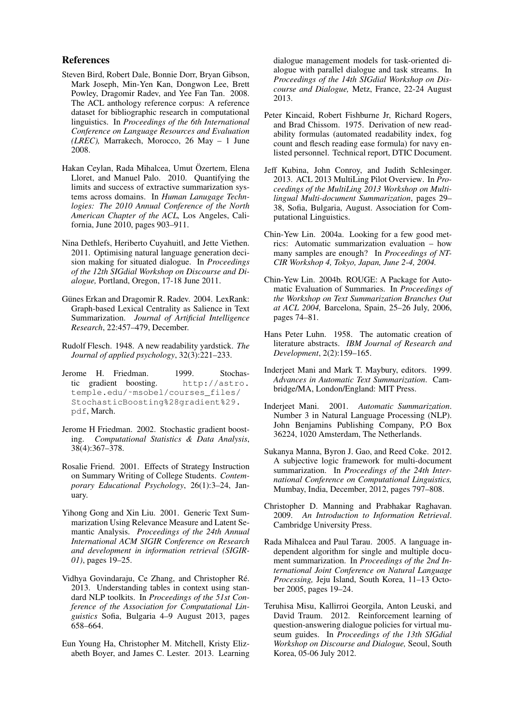#### References

- Steven Bird, Robert Dale, Bonnie Dorr, Bryan Gibson, Mark Joseph, Min-Yen Kan, Dongwon Lee, Brett Powley, Dragomir Radev, and Yee Fan Tan. 2008. The ACL anthology reference corpus: A reference dataset for bibliographic research in computational linguistics. In *Proceedings of the 6th International Conference on Language Resources and Evaluation (LREC),* Marrakech, Morocco, 26 May – 1 June 2008.
- Hakan Ceylan, Rada Mihalcea, Umut Özertem, Elena Lloret, and Manuel Palo. 2010. Quantifying the limits and success of extractive summarization systems across domains. In *Human Lanugage Technlogies: The 2010 Annual Conference of the North American Chapter of the ACL,* Los Angeles, California, June 2010, pages 903–911.
- Nina Dethlefs, Heriberto Cuyahuitl, and Jette Viethen. 2011. Optimising natural language generation decision making for situated dialogue. In *Proceedings of the 12th SIGdial Workshop on Discourse and Dialogue,* Portland, Oregon, 17-18 June 2011.
- Günes Erkan and Dragomir R. Radev. 2004. LexRank: Graph-based Lexical Centrality as Salience in Text Summarization. *Journal of Artificial Intelligence Research*, 22:457–479, December.
- Rudolf Flesch. 1948. A new readability yardstick. *The Journal of applied psychology*, 32(3):221–233.
- Jerome H. Friedman. 1999. Stochastic gradient boosting. http://astro. temple.edu/˜msobel/courses\_files/ StochasticBoosting%28gradient%29. pdf, March.
- Jerome H Friedman. 2002. Stochastic gradient boosting. *Computational Statistics & Data Analysis*, 38(4):367–378.
- Rosalie Friend. 2001. Effects of Strategy Instruction on Summary Writing of College Students. *Contemporary Educational Psychology*, 26(1):3–24, January.
- Yihong Gong and Xin Liu. 2001. Generic Text Summarization Using Relevance Measure and Latent Semantic Analysis. *Proceedings of the 24th Annual International ACM SIGIR Conference on Research and development in information retrieval (SIGIR-01)*, pages 19–25.
- Vidhya Govindaraju, Ce Zhang, and Christopher Ré. 2013. Understanding tables in context using standard NLP toolkits. In *Proceedings of the 51st Conference of the Association for Computational Linguistics* Sofia, Bulgaria 4–9 August 2013, pages 658–664.
- Eun Young Ha, Christopher M. Mitchell, Kristy Elizabeth Boyer, and James C. Lester. 2013. Learning

dialogue management models for task-oriented dialogue with parallel dialogue and task streams. In *Proceedings of the 14th SIGdial Workshop on Discourse and Dialogue,* Metz, France, 22-24 August 2013.

- Peter Kincaid, Robert Fishburne Jr, Richard Rogers, and Brad Chissom. 1975. Derivation of new readability formulas (automated readability index, fog count and flesch reading ease formula) for navy enlisted personnel. Technical report, DTIC Document.
- Jeff Kubina, John Conroy, and Judith Schlesinger. 2013. ACL 2013 MultiLing Pilot Overview. In *Proceedings of the MultiLing 2013 Workshop on Multilingual Multi-document Summarization*, pages 29– 38, Sofia, Bulgaria, August. Association for Computational Linguistics.
- Chin-Yew Lin. 2004a. Looking for a few good metrics: Automatic summarization evaluation – how many samples are enough? In *Proceedings of NT-CIR Workshop 4, Tokyo, Japan, June 2-4, 2004.*
- Chin-Yew Lin. 2004b. ROUGE: A Package for Automatic Evaluation of Summaries. In *Proceedings of the Workshop on Text Summarization Branches Out at ACL 2004,* Barcelona, Spain, 25–26 July, 2006, pages 74–81.
- Hans Peter Luhn. 1958. The automatic creation of literature abstracts. *IBM Journal of Research and Development*, 2(2):159–165.
- Inderjeet Mani and Mark T. Maybury, editors. 1999. *Advances in Automatic Text Summarization*. Cambridge/MA, London/England: MIT Press.
- Inderjeet Mani. 2001. *Automatic Summarization*. Number 3 in Natural Language Processing (NLP). John Benjamins Publishing Company, P.O Box 36224, 1020 Amsterdam, The Netherlands.
- Sukanya Manna, Byron J. Gao, and Reed Coke. 2012. A subjective logic framework for multi-document summarization. In *Proceedings of the 24th International Conference on Computational Linguistics,* Mumbay, India, December, 2012, pages 797–808.
- Christopher D. Manning and Prabhakar Raghavan. 2009. *An Introduction to Information Retrieval*. Cambridge University Press.
- Rada Mihalcea and Paul Tarau. 2005. A language independent algorithm for single and multiple document summarization. In *Proceedings of the 2nd International Joint Conference on Natural Language Processing,* Jeju Island, South Korea, 11–13 October 2005, pages 19–24.
- Teruhisa Misu, Kallirroi Georgila, Anton Leuski, and David Traum. 2012. Reinforcement learning of question-answering dialogue policies for virtual museum guides. In *Proceedings of the 13th SIGdial Workshop on Discourse and Dialogue,* Seoul, South Korea, 05-06 July 2012.